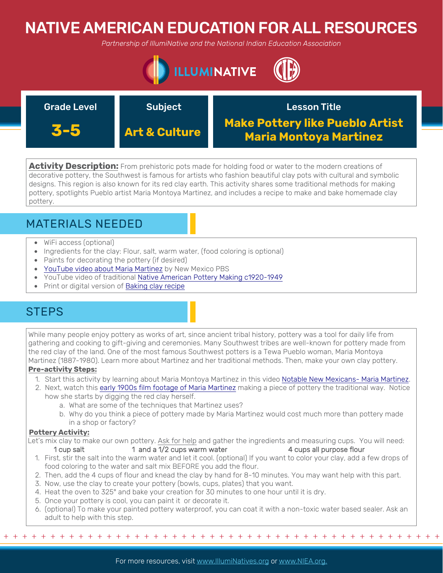# NATIVE AMERICAN EDUCATION FOR ALL RESOURCES

*Partnership of IllumiNative and the National Indian Education Association*



| <b>Grade Level</b> | <b>Subject</b>           | <b>Lesson Title</b>                                              |
|--------------------|--------------------------|------------------------------------------------------------------|
| 3-5                | <b>Art &amp; Culture</b> | <b>Make Pottery like Pueblo Artist</b><br>Maria Montoya Martinez |

**Activity Description:** From prehistoric pots made for holding food or water to the modern creations of decorative pottery, the Southwest is famous for artists who fashion beautiful clay pots with cultural and symbolic designs. This region is also known for its red clay earth. This activity shares some traditional methods for making pottery, spotlights Pueblo artist Maria Montoya Martinez, and includes a recipe to make and bake homemade clay pottery.

## MATERIALS NEEDED

- WiFi access (optional)
- Ingredients for the clay: Flour, salt, warm water, (food coloring is optional)
- Paints for decorating the pottery (if desired)
- [YouTube video about Maria Martinez](https://www.youtube.com/watch?v=oAFPAUVowE4) by New Mexico PBS
- YouTube video of traditional [Native American Pottery Making c1920-1949](https://www.youtube.com/watch?v=OVF1QtzPHYg)
- Print or digital version of [Baking clay recipe](https://kinderart.com/art-lessons/crafts/baking-clay-recipes/)

## **STEPS**

While many people enjoy pottery as works of art, since ancient tribal history, pottery was a tool for daily life from gathering and cooking to gift-giving and ceremonies. Many Southwest tribes are well-known for pottery made from the red clay of the land. One of the most famous Southwest potters is a Tewa Pueblo woman, Maria Montoya Martinez (1887-1980). Learn more about Martinez and her traditional methods. Then, make your own clay pottery.

### **Pre-activity Steps:**

- 1. Start this activity by learning about Maria Montoya Martinez in this video [Notable New Mexicans- Maria Martinez](https://www.youtube.com/watch?v=oAFPAUVowE4).
- 2. Next, watch this [early 1900s film footage of Maria Martinez](https://www.youtube.com/watch?v=OVF1QtzPHYg) making a piece of pottery the traditional way. Notice how she starts by digging the red clay herself.
	- a. What are some of the techniques that Martinez uses?
	- b. Why do you think a piece of pottery made by Maria Martinez would cost much more than pottery made in a shop or factory?

### **Pottery Activity:**

Let's mix clay to make our own pottery. Ask for help and gather the ingredients and measuring cups. You will need: 1 cup salt 1 and a 1/2 cups warm water 4 cups all purpose flour

- 1. First, stir the salt into the warm water and let it cool. (optional) If you want to color your clay, add a few drops of food coloring to the water and salt mix BEFORE you add the flour.
- 2. Then, add the 4 cups of flour and knead the clay by hand for 8-10 minutes. You may want help with this part.
- 3. Now, use the clay to create your pottery (bowls, cups, plates) that you want.
- 4. Heat the oven to 325° and bake your creation for 30 minutes to one hour until it is dry.
- 5. Once your pottery is cool, you can paint it or decorate it.
- 6. (optional) To make your painted pottery waterproof, you can coat it with a non-toxic water based sealer. Ask an adult to help with this step.

+ + + + + + + + + + + + + + + + + + + + + + + + + + + + + + + + + + + + + + + + + + + + + + + +